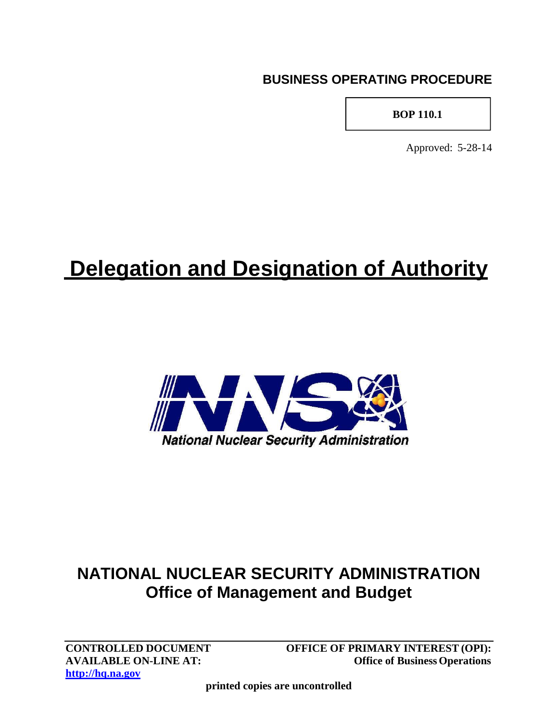## **BUSINESS OPERATING PROCEDURE**

### **BOP 110.1**

Approved: 5-28-14

# **Delegation and Designation of Authority**



# **NATIONAL NUCLEAR SECURITY ADMINISTRATION Office of Management and Budget**

**[http://hq.na.gov](http://hq.na.gov/)**

**CONTROLLED DOCUMENT OFFICE OF PRIMARY INTEREST (OPI): AVAILABLE ON-LINE AT: Office of Business Operations** 

**printed copies are uncontrolled**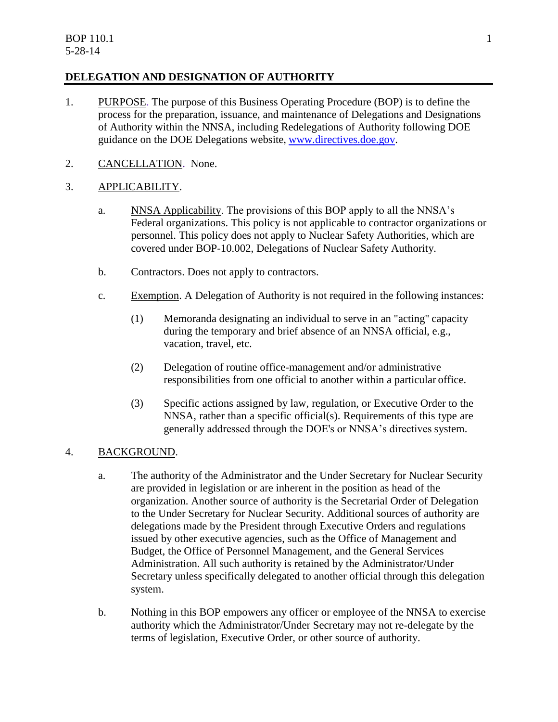#### **DELEGATION AND DESIGNATION OF AUTHORITY**

- 1. PURPOSE. The purpose of this Business Operating Procedure (BOP) is to define the process for the preparation, issuance, and maintenance of Delegations and Designations of Authority within the NNSA, including Redelegations of Authority following DOE guidance on the DOE Delegations website, [www.directives.doe.gov.](http://www.directives.doe.gov/)
- 2. CANCELLATION. None.

#### 3. APPLICABILITY.

- a. NNSA Applicability. The provisions of this BOP apply to all the NNSA's Federal organizations. This policy is not applicable to contractor organizations or personnel. This policy does not apply to Nuclear Safety Authorities, which are covered under BOP-10.002, Delegations of Nuclear Safety Authority.
- b. Contractors. Does not apply to contractors.
- c. Exemption. A Delegation of Authority is not required in the following instances:
	- (1) Memoranda designating an individual to serve in an "acting" capacity during the temporary and brief absence of an NNSA official, e.g., vacation, travel, etc.
	- (2) Delegation of routine office-management and/or administrative responsibilities from one official to another within a particular office.
	- (3) Specific actions assigned by law, regulation, or Executive Order to the NNSA, rather than a specific official(s). Requirements of this type are generally addressed through the DOE's or NNSA's directives system.

#### 4. BACKGROUND.

- a. The authority of the Administrator and the Under Secretary for Nuclear Security are provided in legislation or are inherent in the position as head of the organization. Another source of authority is the Secretarial Order of Delegation to the Under Secretary for Nuclear Security. Additional sources of authority are delegations made by the President through Executive Orders and regulations issued by other executive agencies, such as the Office of Management and Budget, the Office of Personnel Management, and the General Services Administration. All such authority is retained by the Administrator/Under Secretary unless specifically delegated to another official through this delegation system.
- b. Nothing in this BOP empowers any officer or employee of the NNSA to exercise authority which the Administrator/Under Secretary may not re-delegate by the terms of legislation, Executive Order, or other source of authority.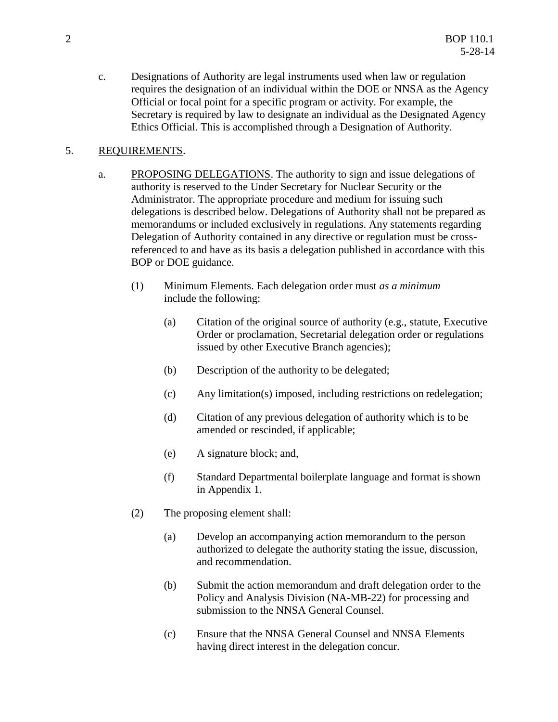c. Designations of Authority are legal instruments used when law or regulation requires the designation of an individual within the DOE or NNSA as the Agency Official or focal point for a specific program or activity. For example, the Secretary is required by law to designate an individual as the Designated Agency Ethics Official. This is accomplished through a Designation of Authority.

#### 5. REQUIREMENTS.

- a. PROPOSING DELEGATIONS. The authority to sign and issue delegations of authority is reserved to the Under Secretary for Nuclear Security or the Administrator. The appropriate procedure and medium for issuing such delegations is described below. Delegations of Authority shall not be prepared as memorandums or included exclusively in regulations. Any statements regarding Delegation of Authority contained in any directive or regulation must be crossreferenced to and have as its basis a delegation published in accordance with this BOP or DOE guidance.
	- (1) Minimum Elements. Each delegation order must *as a minimum* include the following:
		- (a) Citation of the original source of authority (e.g., statute, Executive Order or proclamation, Secretarial delegation order or regulations issued by other Executive Branch agencies);
		- (b) Description of the authority to be delegated;
		- (c) Any limitation(s) imposed, including restrictions on redelegation;
		- (d) Citation of any previous delegation of authority which is to be amended or rescinded, if applicable;
		- (e) A signature block; and,
		- (f) Standard Departmental boilerplate language and format isshown in Appendix 1.
	- (2) The proposing element shall:
		- (a) Develop an accompanying action memorandum to the person authorized to delegate the authority stating the issue, discussion, and recommendation.
		- (b) Submit the action memorandum and draft delegation order to the Policy and Analysis Division (NA-MB-22) for processing and submission to the NNSA General Counsel.
		- (c) Ensure that the NNSA General Counsel and NNSA Elements having direct interest in the delegation concur.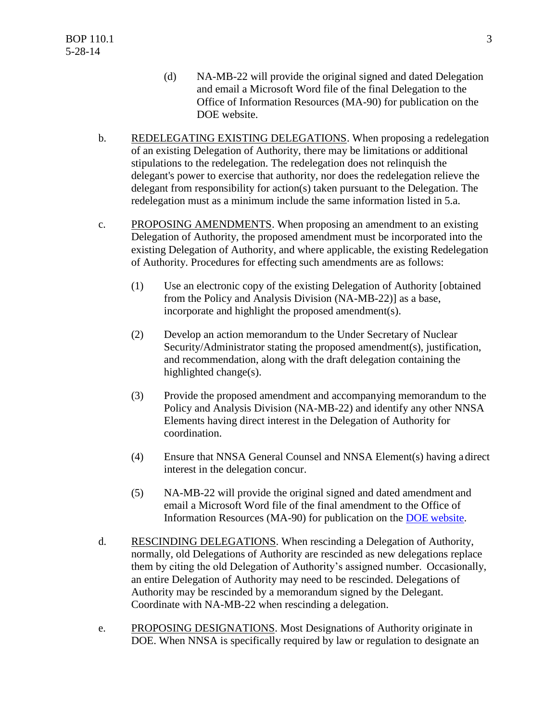- (d) NA-MB-22 will provide the original signed and dated Delegation and email a Microsoft Word file of the final Delegation to the Office of Information Resources (MA-90) for publication on the DOE website.
- b. REDELEGATING EXISTING DELEGATIONS. When proposing a redelegation of an existing Delegation of Authority, there may be limitations or additional stipulations to the redelegation. The redelegation does not relinquish the delegant's power to exercise that authority, nor does the redelegation relieve the delegant from responsibility for action(s) taken pursuant to the Delegation. The redelegation must as a minimum include the same information listed in 5.a.
- c. PROPOSING AMENDMENTS. When proposing an amendment to an existing Delegation of Authority, the proposed amendment must be incorporated into the existing Delegation of Authority, and where applicable, the existing Redelegation of Authority. Procedures for effecting such amendments are as follows:
	- (1) Use an electronic copy of the existing Delegation of Authority [obtained from the Policy and Analysis Division (NA-MB-22)] as a base, incorporate and highlight the proposed amendment(s).
	- (2) Develop an action memorandum to the Under Secretary of Nuclear Security/Administrator stating the proposed amendment(s), justification, and recommendation, along with the draft delegation containing the highlighted change(s).
	- (3) Provide the proposed amendment and accompanying memorandum to the Policy and Analysis Division (NA-MB-22) and identify any other NNSA Elements having direct interest in the Delegation of Authority for coordination.
	- (4) Ensure that NNSA General Counsel and NNSA Element(s) having a direct interest in the delegation concur.
	- (5) NA-MB-22 will provide the original signed and dated amendment and email a Microsoft Word file of the final amendment to the Office of Information Resources (MA-90) for publication on the DOE website.
- d. RESCINDING DELEGATIONS. When rescinding a Delegation of Authority, normally, old Delegations of Authority are rescinded as new delegations replace them by citing the old Delegation of Authority's assigned number. Occasionally, an entire Delegation of Authority may need to be rescinded. Delegations of Authority may be rescinded by a memorandum signed by the Delegant. Coordinate with NA-MB-22 when rescinding a delegation.
- e. PROPOSING DESIGNATIONS. Most Designations of Authority originate in DOE. When NNSA is specifically required by law or regulation to designate an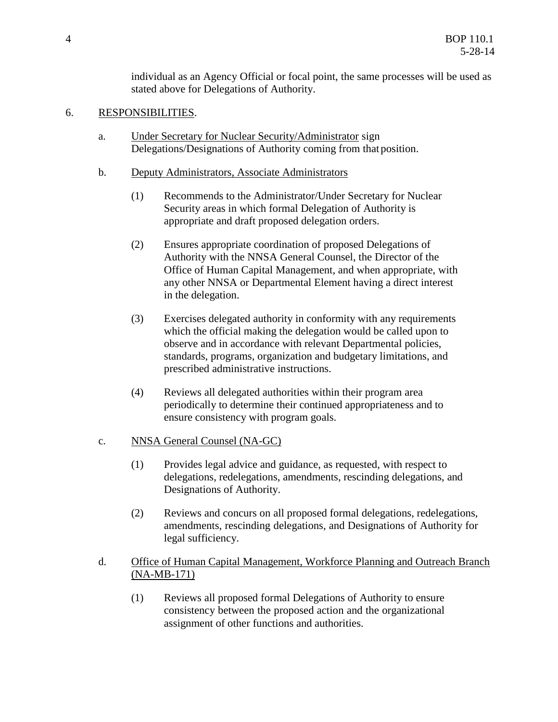individual as an Agency Official or focal point, the same processes will be used as stated above for Delegations of Authority.

#### 6. RESPONSIBILITIES.

- a. Under Secretary for Nuclear Security/Administrator sign Delegations/Designations of Authority coming from that position.
- b. Deputy Administrators, Associate Administrators
	- (1) Recommends to the Administrator/Under Secretary for Nuclear Security areas in which formal Delegation of Authority is appropriate and draft proposed delegation orders.
	- (2) Ensures appropriate coordination of proposed Delegations of Authority with the NNSA General Counsel, the Director of the Office of Human Capital Management, and when appropriate, with any other NNSA or Departmental Element having a direct interest in the delegation.
	- (3) Exercises delegated authority in conformity with any requirements which the official making the delegation would be called upon to observe and in accordance with relevant Departmental policies, standards, programs, organization and budgetary limitations, and prescribed administrative instructions.
	- (4) Reviews all delegated authorities within their program area periodically to determine their continued appropriateness and to ensure consistency with program goals.

#### c. NNSA General Counsel (NA-GC)

- (1) Provides legal advice and guidance, as requested, with respect to delegations, redelegations, amendments, rescinding delegations, and Designations of Authority.
- (2) Reviews and concurs on all proposed formal delegations, redelegations, amendments, rescinding delegations, and Designations of Authority for legal sufficiency.

#### d. Office of Human Capital Management, Workforce Planning and Outreach Branch (NA-MB-171)

(1) Reviews all proposed formal Delegations of Authority to ensure consistency between the proposed action and the organizational assignment of other functions and authorities.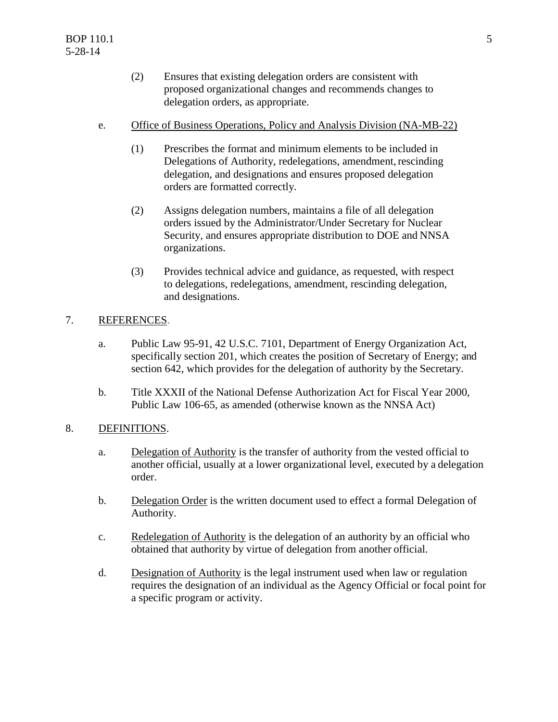- (2) Ensures that existing delegation orders are consistent with proposed organizational changes and recommends changes to delegation orders, as appropriate.
- e. Office of Business Operations, Policy and Analysis Division (NA-MB-22)
	- (1) Prescribes the format and minimum elements to be included in Delegations of Authority, redelegations, amendment, rescinding delegation, and designations and ensures proposed delegation orders are formatted correctly.
	- (2) Assigns delegation numbers, maintains a file of all delegation orders issued by the Administrator/Under Secretary for Nuclear Security, and ensures appropriate distribution to DOE and NNSA organizations.
	- (3) Provides technical advice and guidance, as requested, with respect to delegations, redelegations, amendment, rescinding delegation, and designations.

#### 7. REFERENCES.

- a. Public Law 95-91, 42 U.S.C. 7101, Department of Energy Organization Act, specifically section 201, which creates the position of Secretary of Energy; and section 642, which provides for the delegation of authority by the Secretary.
- b. Title XXXII of the National Defense Authorization Act for Fiscal Year 2000, Public Law 106-65, as amended (otherwise known as the NNSA Act)

#### 8. DEFINITIONS.

- a. Delegation of Authority is the transfer of authority from the vested official to another official, usually at a lower organizational level, executed by a delegation order.
- b. Delegation Order is the written document used to effect a formal Delegation of Authority.
- c. Redelegation of Authority is the delegation of an authority by an official who obtained that authority by virtue of delegation from another official.
- d. Designation of Authority is the legal instrument used when law or regulation requires the designation of an individual as the Agency Official or focal point for a specific program or activity.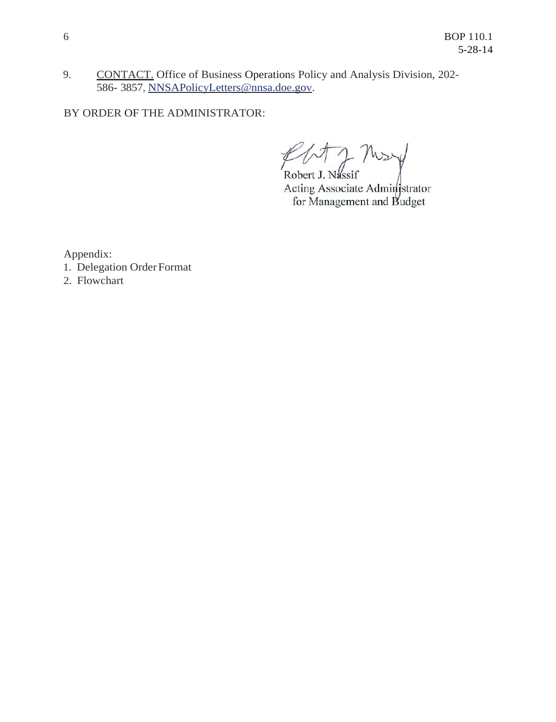9. CONTACT. Office of Business Operations Policy and Analysis Division, 202- 586- 3857, NNSAPolicyLetters@nnsa.doe.gov.

BY ORDER OF THE ADMINISTRATOR:

Robert J. Nassif Acting Associate Administrator for Management and Budget

Appendix:

1. Delegation Order Format

2. Flowchart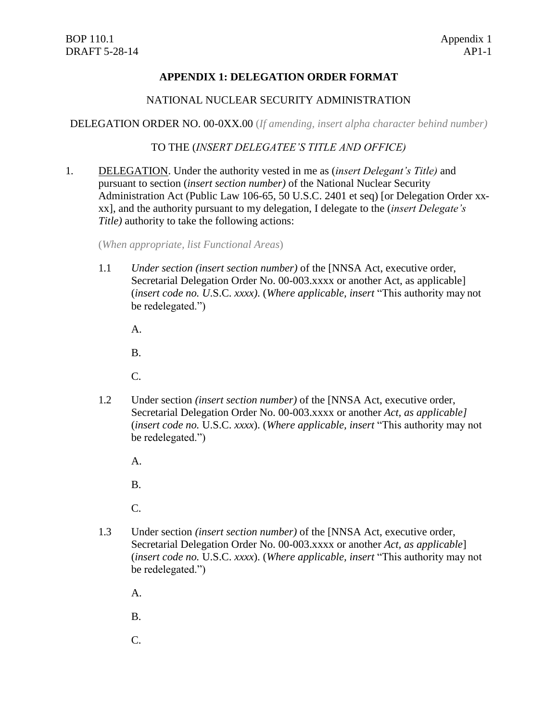#### **APPENDIX 1: DELEGATION ORDER FORMAT**

#### NATIONAL NUCLEAR SECURITY ADMINISTRATION

DELEGATION ORDER NO. 00-0XX.00 (*If amending, insert alpha character behind number)*

TO THE (*INSERT DELEGATEE'S TITLE AND OFFICE)*

1. DELEGATION. Under the authority vested in me as (*insert Delegant's Title)* and pursuant to section (*insert section number)* of the National Nuclear Security Administration Act (Public Law 106-65, 50 U.S.C. 2401 et seq) [or Delegation Order xxxx], and the authority pursuant to my delegation, I delegate to the (*insert Delegate's Title)* authority to take the following actions:

(*When appropriate, list Functional Areas*)

1.1 *Under section (insert section number)* of the [NNSA Act, executive order, Secretarial Delegation Order No. 00-003.xxxx or another Act, as applicable] (*insert code no. U*.S.C. *xxxx)*. (*Where applicable, insert* "This authority may not be redelegated.")

A.

B.

C.

1.2 Under section *(insert section number)* of the [NNSA Act, executive order, Secretarial Delegation Order No. 00-003.xxxx or another *Act, as applicable]*  (*insert code no.* U.S.C. *xxxx*). (*Where applicable, insert* "This authority may not be redelegated.")

A.

B.

C.

1.3 Under section *(insert section number)* of the [NNSA Act, executive order, Secretarial Delegation Order No. 00-003.xxxx or another *Act, as applicable*] (*insert code no.* U.S.C. *xxxx*). (*Where applicable, insert* "This authority may not be redelegated.")

A.

B.

C.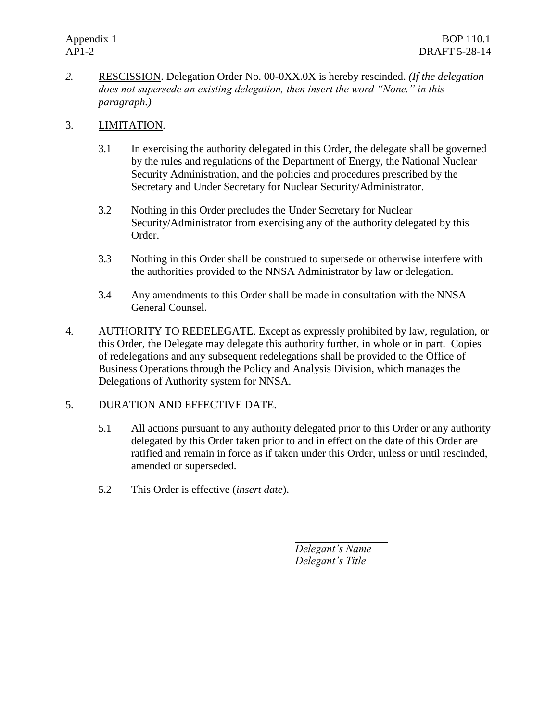*2.* RESCISSION. Delegation Order No. 00-0XX.0X is hereby rescinded. *(If the delegation does not supersede an existing delegation, then insert the word "None." in this paragraph.)*

#### 3. LIMITATION.

- 3.1 In exercising the authority delegated in this Order, the delegate shall be governed by the rules and regulations of the Department of Energy, the National Nuclear Security Administration, and the policies and procedures prescribed by the Secretary and Under Secretary for Nuclear Security/Administrator.
- 3.2 Nothing in this Order precludes the Under Secretary for Nuclear Security/Administrator from exercising any of the authority delegated by this Order.
- 3.3 Nothing in this Order shall be construed to supersede or otherwise interfere with the authorities provided to the NNSA Administrator by law or delegation.
- 3.4 Any amendments to this Order shall be made in consultation with the NNSA General Counsel.
- 4. AUTHORITY TO REDELEGATE. Except as expressly prohibited by law, regulation, or this Order, the Delegate may delegate this authority further, in whole or in part. Copies of redelegations and any subsequent redelegations shall be provided to the Office of Business Operations through the Policy and Analysis Division, which manages the Delegations of Authority system for NNSA.

#### 5. DURATION AND EFFECTIVE DATE.

- 5.1 All actions pursuant to any authority delegated prior to this Order or any authority delegated by this Order taken prior to and in effect on the date of this Order are ratified and remain in force as if taken under this Order, unless or until rescinded, amended or superseded.
- 5.2 This Order is effective (*insert date*).

*Delegant's Name Delegant's Title*